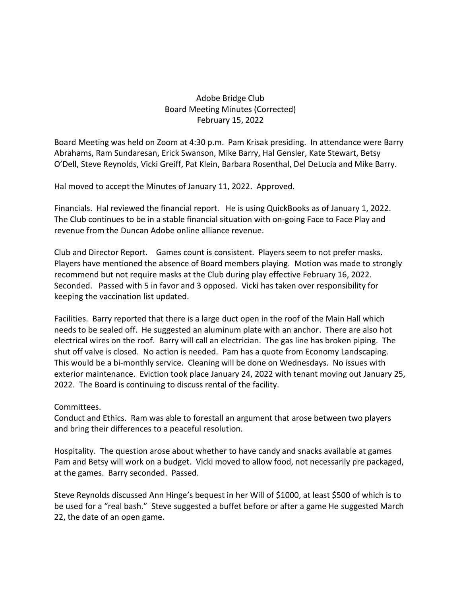## Adobe Bridge Club Board Meeting Minutes (Corrected) February 15, 2022

Board Meeting was held on Zoom at 4:30 p.m. Pam Krisak presiding. In attendance were Barry Abrahams, Ram Sundaresan, Erick Swanson, Mike Barry, Hal Gensler, Kate Stewart, Betsy O'Dell, Steve Reynolds, Vicki Greiff, Pat Klein, Barbara Rosenthal, Del DeLucia and Mike Barry.

Hal moved to accept the Minutes of January 11, 2022. Approved.

Financials. Hal reviewed the financial report. He is using QuickBooks as of January 1, 2022. The Club continues to be in a stable financial situation with on-going Face to Face Play and revenue from the Duncan Adobe online alliance revenue.

Club and Director Report. Games count is consistent. Players seem to not prefer masks. Players have mentioned the absence of Board members playing. Motion was made to strongly recommend but not require masks at the Club during play effective February 16, 2022. Seconded. Passed with 5 in favor and 3 opposed. Vicki has taken over responsibility for keeping the vaccination list updated.

Facilities. Barry reported that there is a large duct open in the roof of the Main Hall which needs to be sealed off. He suggested an aluminum plate with an anchor. There are also hot electrical wires on the roof. Barry will call an electrician. The gas line has broken piping. The shut off valve is closed. No action is needed. Pam has a quote from Economy Landscaping. This would be a bi-monthly service. Cleaning will be done on Wednesdays. No issues with exterior maintenance. Eviction took place January 24, 2022 with tenant moving out January 25, 2022. The Board is continuing to discuss rental of the facility.

Committees.

Conduct and Ethics. Ram was able to forestall an argument that arose between two players and bring their differences to a peaceful resolution.

Hospitality. The question arose about whether to have candy and snacks available at games Pam and Betsy will work on a budget. Vicki moved to allow food, not necessarily pre packaged, at the games. Barry seconded. Passed.

Steve Reynolds discussed Ann Hinge's bequest in her Will of \$1000, at least \$500 of which is to be used for a "real bash." Steve suggested a buffet before or after a game He suggested March 22, the date of an open game.